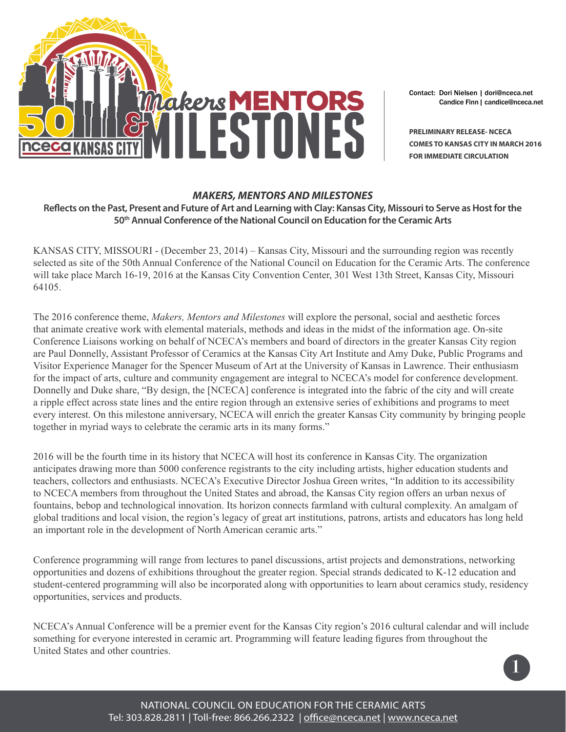

Contact: Dori Nielsen | dori@nceca.net Candice Finn | candice@nceca.net

**PRELIMINARY RELEASE- NCECA COMES TO KANSAS CITY IN MARCH 2016 FOR IMMEDIATE CIRCULATION**

## *MAKERS, MENTORS AND MILESTONES*

**Reflects on the Past, Present and Future of Art and Learning with Clay: Kansas City, Missouri to Serve as Host for the 50th Annual Conference of the National Council on Education for the Ceramic Arts**

KANSAS CITY, MISSOURI - (December 23, 2014) – Kansas City, Missouri and the surrounding region was recently selected as site of the 50th Annual Conference of the National Council on Education for the Ceramic Arts. The conference will take place March 16-19, 2016 at the Kansas City Convention Center, 301 West 13th Street, Kansas City, Missouri 64105.

The 2016 conference theme, *Makers, Mentors and Milestones* will explore the personal, social and aesthetic forces that animate creative work with elemental materials, methods and ideas in the midst of the information age. On-site Conference Liaisons working on behalf of NCECA's members and board of directors in the greater Kansas City region are Paul Donnelly, Assistant Professor of Ceramics at the Kansas City Art Institute and Amy Duke, Public Programs and Visitor Experience Manager for the Spencer Museum of Art at the University of Kansas in Lawrence. Their enthusiasm for the impact of arts, culture and community engagement are integral to NCECA's model for conference development. Donnelly and Duke share, "By design, the [NCECA] conference is integrated into the fabric of the city and will create a ripple effect across state lines and the entire region through an extensive series of exhibitions and programs to meet every interest. On this milestone anniversary, NCECA will enrich the greater Kansas City community by bringing people together in myriad ways to celebrate the ceramic arts in its many forms."

2016 will be the fourth time in its history that NCECA will host its conference in Kansas City. The organization anticipates drawing more than 5000 conference registrants to the city including artists, higher education students and teachers, collectors and enthusiasts. NCECA's Executive Director Joshua Green writes, "In addition to its accessibility to NCECA members from throughout the United States and abroad, the Kansas City region offers an urban nexus of fountains, bebop and technological innovation. Its horizon connects farmland with cultural complexity. An amalgam of global traditions and local vision, the region's legacy of great art institutions, patrons, artists and educators has long held an important role in the development of North American ceramic arts."

Conference programming will range from lectures to panel discussions, artist projects and demonstrations, networking opportunities and dozens of exhibitions throughout the greater region. Special strands dedicated to K-12 education and student-centered programming will also be incorporated along with opportunities to learn about ceramics study, residency opportunities, services and products.

NCECA's Annual Conference will be a premier event for the Kansas City region's 2016 cultural calendar and will include something for everyone interested in ceramic art. Programming will feature leading figures from throughout the United States and other countries.

1